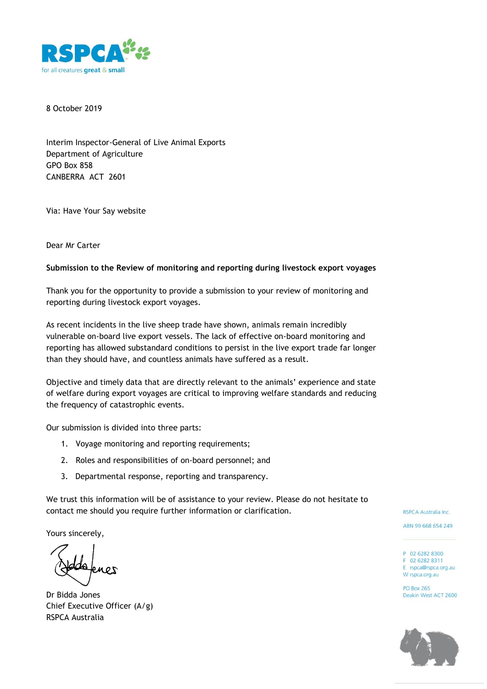

8 October 2019

Interim Inspector-General of Live Animal Exports Department of Agriculture GPO Box 858 CANBERRA ACT 2601

Via: Have Your Say website

Dear Mr Carter

#### **Submission to the Review of monitoring and reporting during livestock export voyages**

Thank you for the opportunity to provide a submission to your review of monitoring and reporting during livestock export voyages.

As recent incidents in the live sheep trade have shown, animals remain incredibly vulnerable on-board live export vessels. The lack of effective on-board monitoring and reporting has allowed substandard conditions to persist in the live export trade far longer than they should have, and countless animals have suffered as a result.

Objective and timely data that are directly relevant to the animals' experience and state of welfare during export voyages are critical to improving welfare standards and reducing the frequency of catastrophic events.

Our submission is divided into three parts:

- 1. Voyage monitoring and reporting requirements;
- 2. Roles and responsibilities of on-board personnel; and
- 3. Departmental response, reporting and transparency.

We trust this information will be of assistance to your review. Please do not hesitate to contact me should you require further information or clarification.

Yours sincerely,

Dr Bidda Jones Chief Executive Officer (A/g) RSPCA Australia

RSPCA Australia Inc.

ABN 99 668 654 249

- P 02 6282 8300 F 02 6282 8311 E rspca@rspca.org.au
- W rspca.org.au

**PO Box 265** Deakin West ACT 2600

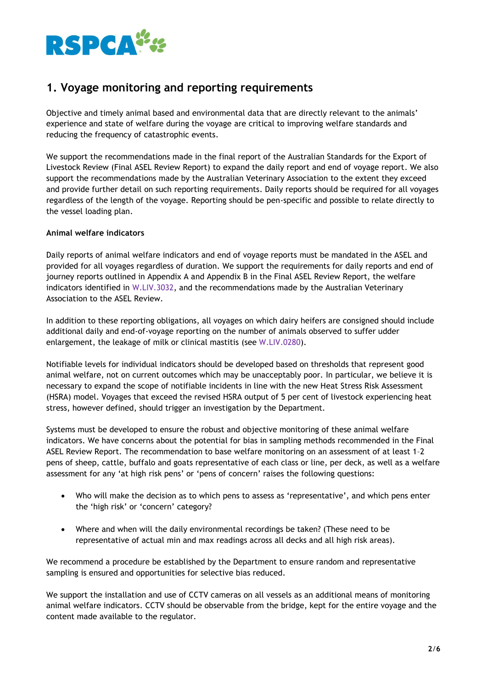

# **1. Voyage monitoring and reporting requirements**

Objective and timely animal based and environmental data that are directly relevant to the animals' experience and state of welfare during the voyage are critical to improving welfare standards and reducing the frequency of catastrophic events.

We support the recommendations made in the final report of the Australian Standards for the Export of Livestock Review (Final ASEL Review Report) to expand the daily report and end of voyage report. We also support the recommendations made by the Australian Veterinary Association to the extent they exceed and provide further detail on such reporting requirements. Daily reports should be required for all voyages regardless of the length of the voyage. Reporting should be pen-specific and possible to relate directly to the vessel loading plan.

### **Animal welfare indicators**

Daily reports of animal welfare indicators and end of voyage reports must be mandated in the ASEL and provided for all voyages regardless of duration. We support the requirements for daily reports and end of journey reports outlined in Appendix A and Appendix B in the Final ASEL Review Report, the welfare indicators identified in W.LIV.3032, and the recommendations made by the Australian Veterinary Association to the ASEL Review.

In addition to these reporting obligations, all voyages on which dairy heifers are consigned should include additional daily and end-of-voyage reporting on the number of animals observed to suffer udder enlargement, the leakage of milk or clinical mastitis (see W.LIV.0280).

Notifiable levels for individual indicators should be developed based on thresholds that represent good animal welfare, not on current outcomes which may be unacceptably poor. In particular, we believe it is necessary to expand the scope of notifiable incidents in line with the new Heat Stress Risk Assessment (HSRA) model. Voyages that exceed the revised HSRA output of 5 per cent of livestock experiencing heat stress, however defined, should trigger an investigation by the Department.

Systems must be developed to ensure the robust and objective monitoring of these animal welfare indicators. We have concerns about the potential for bias in sampling methods recommended in the Final ASEL Review Report. The recommendation to base welfare monitoring on an assessment of at least 1–2 pens of sheep, cattle, buffalo and goats representative of each class or line, per deck, as well as a welfare assessment for any 'at high risk pens' or 'pens of concern' raises the following questions:

- Who will make the decision as to which pens to assess as 'representative', and which pens enter the 'high risk' or 'concern' category?
- Where and when will the daily environmental recordings be taken? (These need to be representative of actual min and max readings across all decks and all high risk areas).

We recommend a procedure be established by the Department to ensure random and representative sampling is ensured and opportunities for selective bias reduced.

We support the installation and use of CCTV cameras on all vessels as an additional means of monitoring animal welfare indicators. CCTV should be observable from the bridge, kept for the entire voyage and the content made available to the regulator.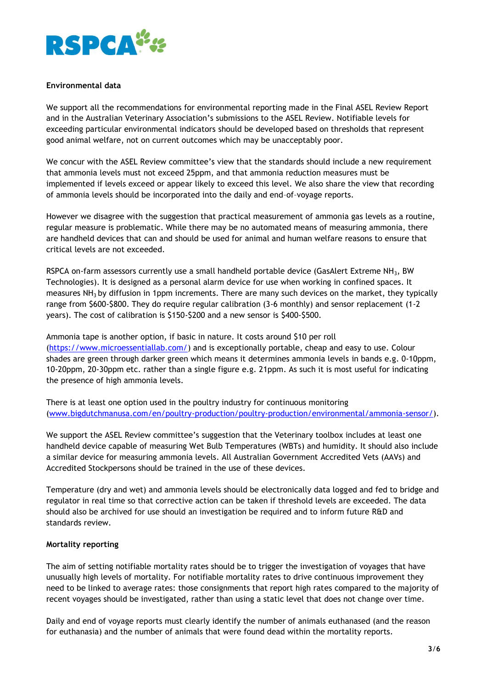

#### **Environmental data**

We support all the recommendations for environmental reporting made in the Final ASEL Review Report and in the Australian Veterinary Association's submissions to the ASEL Review. Notifiable levels for exceeding particular environmental indicators should be developed based on thresholds that represent good animal welfare, not on current outcomes which may be unacceptably poor.

We concur with the ASEL Review committee's view that the standards should include a new requirement that ammonia levels must not exceed 25ppm, and that ammonia reduction measures must be implemented if levels exceed or appear likely to exceed this level. We also share the view that recording of ammonia levels should be incorporated into the daily and end–of–voyage reports.

However we disagree with the suggestion that practical measurement of ammonia gas levels as a routine, regular measure is problematic. While there may be no automated means of measuring ammonia, there are handheld devices that can and should be used for animal and human welfare reasons to ensure that critical levels are not exceeded.

RSPCA on-farm assessors currently use a small handheld portable device (GasAlert Extreme NH<sub>3</sub>, BW Technologies). It is designed as a personal alarm device for use when working in confined spaces. It measures NH<sub>3</sub> by diffusion in 1ppm increments. There are many such devices on the market, they typically range from \$600-\$800. They do require regular calibration (3-6 monthly) and sensor replacement (1-2 years). The cost of calibration is \$150-\$200 and a new sensor is \$400-\$500.

Ammonia tape is another option, if basic in nature. It costs around \$10 per roll [\(https://www.microessentiallab.com/\)](https://www.microessentiallab.com/) and is exceptionally portable, cheap and easy to use. Colour shades are green through darker green which means it determines ammonia levels in bands e.g. 0-10ppm, 10-20ppm, 20-30ppm etc. rather than a single figure e.g. 21ppm. As such it is most useful for indicating the presence of high ammonia levels.

There is at least one option used in the poultry industry for continuous monitoring [\(www.bigdutchmanusa.com/en/poultry-production/poultry-production/environmental/ammonia-sensor/\)](http://www.bigdutchmanusa.com/en/poultry-production/poultry-production/environmental/ammonia-sensor/).

We support the ASEL Review committee's suggestion that the Veterinary toolbox includes at least one handheld device capable of measuring Wet Bulb Temperatures (WBTs) and humidity. It should also include a similar device for measuring ammonia levels. All Australian Government Accredited Vets (AAVs) and Accredited Stockpersons should be trained in the use of these devices.

Temperature (dry and wet) and ammonia levels should be electronically data logged and fed to bridge and regulator in real time so that corrective action can be taken if threshold levels are exceeded. The data should also be archived for use should an investigation be required and to inform future R&D and standards review.

#### **Mortality reporting**

The aim of setting notifiable mortality rates should be to trigger the investigation of voyages that have unusually high levels of mortality. For notifiable mortality rates to drive continuous improvement they need to be linked to average rates: those consignments that report high rates compared to the majority of recent voyages should be investigated, rather than using a static level that does not change over time.

Daily and end of voyage reports must clearly identify the number of animals euthanased (and the reason for euthanasia) and the number of animals that were found dead within the mortality reports.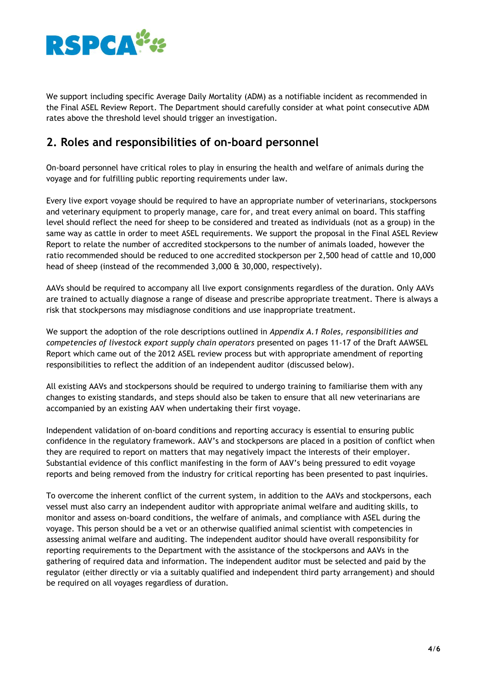

We support including specific Average Daily Mortality (ADM) as a notifiable incident as recommended in the Final ASEL Review Report. The Department should carefully consider at what point consecutive ADM rates above the threshold level should trigger an investigation.

### **2. Roles and responsibilities of on-board personnel**

On-board personnel have critical roles to play in ensuring the health and welfare of animals during the voyage and for fulfilling public reporting requirements under law.

Every live export voyage should be required to have an appropriate number of veterinarians, stockpersons and veterinary equipment to properly manage, care for, and treat every animal on board. This staffing level should reflect the need for sheep to be considered and treated as individuals (not as a group) in the same way as cattle in order to meet ASEL requirements. We support the proposal in the Final ASEL Review Report to relate the number of accredited stockpersons to the number of animals loaded, however the ratio recommended should be reduced to one accredited stockperson per 2,500 head of cattle and 10,000 head of sheep (instead of the recommended 3,000 & 30,000, respectively).

AAVs should be required to accompany all live export consignments regardless of the duration. Only AAVs are trained to actually diagnose a range of disease and prescribe appropriate treatment. There is always a risk that stockpersons may misdiagnose conditions and use inappropriate treatment.

We support the adoption of the role descriptions outlined in *Appendix A.1 Roles, responsibilities and competencies of livestock export supply chain operators* presented on pages 11-17 of the Draft AAWSEL Report which came out of the 2012 ASEL review process but with appropriate amendment of reporting responsibilities to reflect the addition of an independent auditor (discussed below).

All existing AAVs and stockpersons should be required to undergo training to familiarise them with any changes to existing standards, and steps should also be taken to ensure that all new veterinarians are accompanied by an existing AAV when undertaking their first voyage.

Independent validation of on-board conditions and reporting accuracy is essential to ensuring public confidence in the regulatory framework. AAV's and stockpersons are placed in a position of conflict when they are required to report on matters that may negatively impact the interests of their employer. Substantial evidence of this conflict manifesting in the form of AAV's being pressured to edit voyage reports and being removed from the industry for critical reporting has been presented to past inquiries.

To overcome the inherent conflict of the current system, in addition to the AAVs and stockpersons, each vessel must also carry an independent auditor with appropriate animal welfare and auditing skills, to monitor and assess on-board conditions, the welfare of animals, and compliance with ASEL during the voyage. This person should be a vet or an otherwise qualified animal scientist with competencies in assessing animal welfare and auditing. The independent auditor should have overall responsibility for reporting requirements to the Department with the assistance of the stockpersons and AAVs in the gathering of required data and information. The independent auditor must be selected and paid by the regulator (either directly or via a suitably qualified and independent third party arrangement) and should be required on all voyages regardless of duration.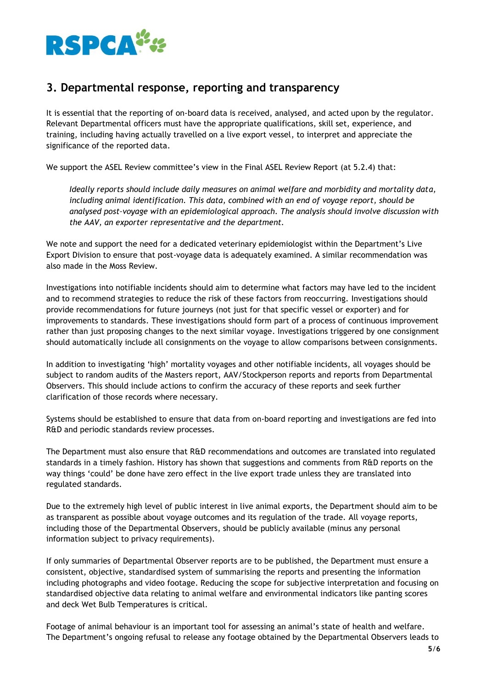

## **3. Departmental response, reporting and transparency**

It is essential that the reporting of on-board data is received, analysed, and acted upon by the regulator. Relevant Departmental officers must have the appropriate qualifications, skill set, experience, and training, including having actually travelled on a live export vessel, to interpret and appreciate the significance of the reported data.

We support the ASEL Review committee's view in the Final ASEL Review Report (at 5.2.4) that:

*Ideally reports should include daily measures on animal welfare and morbidity and mortality data, including animal identification. This data, combined with an end of voyage report, should be analysed post–voyage with an epidemiological approach. The analysis should involve discussion with the AAV, an exporter representative and the department.*

We note and support the need for a dedicated veterinary epidemiologist within the Department's Live Export Division to ensure that post-voyage data is adequately examined. A similar recommendation was also made in the Moss Review.

Investigations into notifiable incidents should aim to determine what factors may have led to the incident and to recommend strategies to reduce the risk of these factors from reoccurring. Investigations should provide recommendations for future journeys (not just for that specific vessel or exporter) and for improvements to standards. These investigations should form part of a process of continuous improvement rather than just proposing changes to the next similar voyage. Investigations triggered by one consignment should automatically include all consignments on the voyage to allow comparisons between consignments.

In addition to investigating 'high' mortality voyages and other notifiable incidents, all voyages should be subject to random audits of the Masters report, AAV/Stockperson reports and reports from Departmental Observers. This should include actions to confirm the accuracy of these reports and seek further clarification of those records where necessary.

Systems should be established to ensure that data from on-board reporting and investigations are fed into R&D and periodic standards review processes.

The Department must also ensure that R&D recommendations and outcomes are translated into regulated standards in a timely fashion. History has shown that suggestions and comments from R&D reports on the way things 'could' be done have zero effect in the live export trade unless they are translated into regulated standards.

Due to the extremely high level of public interest in live animal exports, the Department should aim to be as transparent as possible about voyage outcomes and its regulation of the trade. All voyage reports, including those of the Departmental Observers, should be publicly available (minus any personal information subject to privacy requirements).

If only summaries of Departmental Observer reports are to be published, the Department must ensure a consistent, objective, standardised system of summarising the reports and presenting the information including photographs and video footage. Reducing the scope for subjective interpretation and focusing on standardised objective data relating to animal welfare and environmental indicators like panting scores and deck Wet Bulb Temperatures is critical.

Footage of animal behaviour is an important tool for assessing an animal's state of health and welfare. The Department's ongoing refusal to release any footage obtained by the Departmental Observers leads to